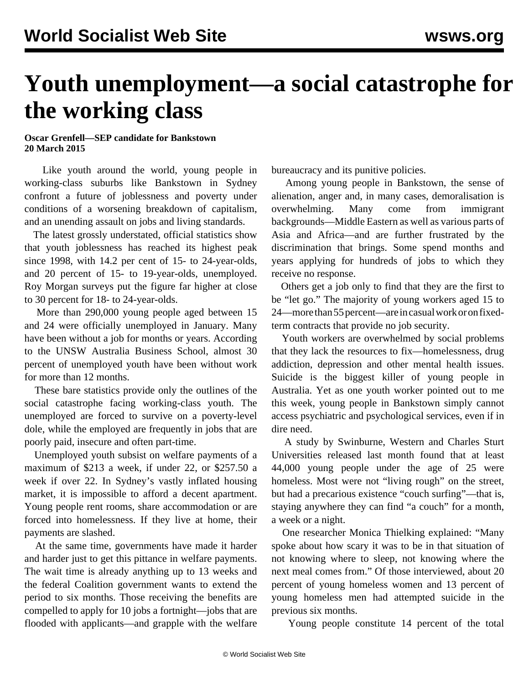## **Youth unemployment—a social catastrophe for the working class**

## **Oscar Grenfell—SEP candidate for Bankstown 20 March 2015**

 Like youth around the world, young people in working-class suburbs like Bankstown in Sydney confront a future of joblessness and poverty under conditions of a worsening breakdown of capitalism, and an unending assault on jobs and living standards.

 The latest grossly understated, official statistics show that youth joblessness has reached its highest peak since 1998, with 14.2 per cent of 15- to 24-year-olds, and 20 percent of 15- to 19-year-olds, unemployed. Roy Morgan surveys put the figure far higher at close to 30 percent for 18- to 24-year-olds.

 More than 290,000 young people aged between 15 and 24 were officially unemployed in January. Many have been without a job for months or years. According to the UNSW Australia Business School, almost 30 percent of unemployed youth have been without work for more than 12 months.

 These bare statistics provide only the outlines of the social catastrophe facing working-class youth. The unemployed are forced to survive on a poverty-level dole, while the employed are frequently in jobs that are poorly paid, insecure and often part-time.

 Unemployed youth subsist on welfare payments of a maximum of \$213 a week, if under 22, or \$257.50 a week if over 22. In Sydney's vastly inflated housing market, it is impossible to afford a decent apartment. Young people rent rooms, share accommodation or are forced into homelessness. If they live at home, their payments are slashed.

 At the same time, governments have made it harder and harder just to get this pittance in welfare payments. The wait time is already anything up to 13 weeks and the federal Coalition government wants to extend the period to six months. Those receiving the benefits are compelled to apply for 10 jobs a fortnight—jobs that are flooded with applicants—and grapple with the welfare bureaucracy and its punitive policies.

 Among young people in Bankstown, the sense of alienation, anger and, in many cases, demoralisation is overwhelming. Many come from immigrant backgrounds—Middle Eastern as well as various parts of Asia and Africa—and are further frustrated by the discrimination that brings. Some spend months and years applying for hundreds of jobs to which they receive no response.

 Others get a job only to find that they are the first to be "let go." The majority of young workers aged 15 to 24—more than 55 percent—are in casual work or on fixedterm contracts that provide no job security.

 Youth workers are overwhelmed by social problems that they lack the resources to fix—homelessness, drug addiction, depression and other mental health issues. Suicide is the biggest killer of young people in Australia. Yet as one youth worker pointed out to me this week, young people in Bankstown simply cannot access psychiatric and psychological services, even if in dire need.

 A study by Swinburne, Western and Charles Sturt Universities released last month found that at least 44,000 young people under the age of 25 were homeless. Most were not "living rough" on the street, but had a precarious existence "couch surfing"—that is, staying anywhere they can find "a couch" for a month, a week or a night.

 One researcher Monica Thielking explained: "Many spoke about how scary it was to be in that situation of not knowing where to sleep, not knowing where the next meal comes from." Of those interviewed, about 20 percent of young homeless women and 13 percent of young homeless men had attempted suicide in the previous six months.

Young people constitute 14 percent of the total